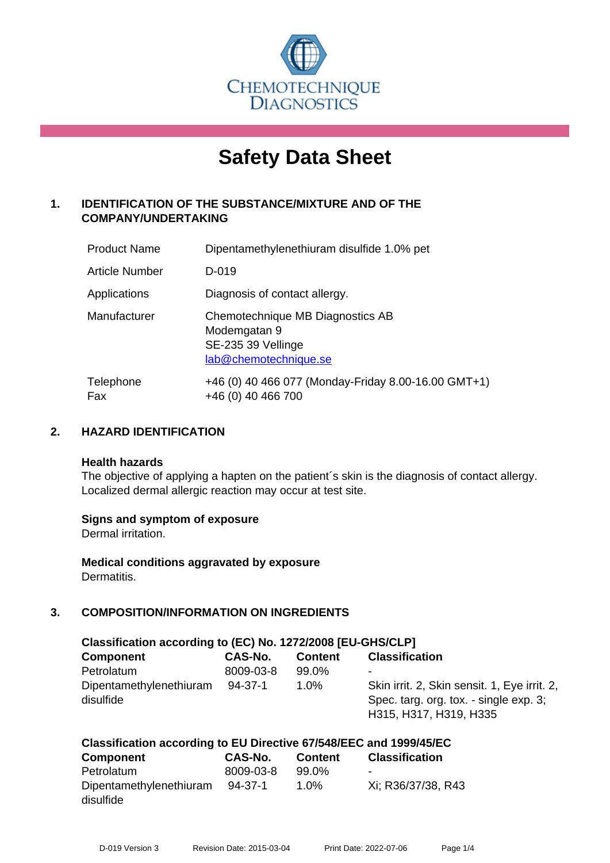

# **Safety Data Sheet**

# **1. IDENTIFICATION OF THE SUBSTANCE/MIXTURE AND OF THE COMPANY/UNDERTAKING**

| <b>Product Name</b>   | Dipentamethylenethiuram disulfide 1.0% pet                                                      |
|-----------------------|-------------------------------------------------------------------------------------------------|
| <b>Article Number</b> | D-019                                                                                           |
| Applications          | Diagnosis of contact allergy.                                                                   |
| Manufacturer          | Chemotechnique MB Diagnostics AB<br>Modemgatan 9<br>SE-235 39 Vellinge<br>lab@chemotechnique.se |
| Telephone<br>Fax      | +46 (0) 40 466 077 (Monday-Friday 8.00-16.00 GMT+1)<br>+46 (0) 40 466 700                       |

### **2. HAZARD IDENTIFICATION**

#### **Health hazards**

The objective of applying a hapten on the patient's skin is the diagnosis of contact allergy. Localized dermal allergic reaction may occur at test site.

#### **Signs and symptom of exposure**

Dermal irritation.

**Medical conditions aggravated by exposure** Dermatitis.

# **3. COMPOSITION/INFORMATION ON INGREDIENTS**

| Classification according to (EC) No. 1272/2008 [EU-GHS/CLP] |           |                |                                                                                                                  |  |  |
|-------------------------------------------------------------|-----------|----------------|------------------------------------------------------------------------------------------------------------------|--|--|
| <b>Component</b>                                            | CAS-No.   | <b>Content</b> | <b>Classification</b>                                                                                            |  |  |
| Petrolatum                                                  | 8009-03-8 | 99.0%          | ۰                                                                                                                |  |  |
| Dipentamethylenethiuram<br>disulfide                        | 94-37-1   | $1.0\%$        | Skin irrit. 2, Skin sensit. 1, Eye irrit. 2,<br>Spec. targ. org. tox. - single exp. 3;<br>H315, H317, H319, H335 |  |  |

# **Classification according to EU Directive 67/548/EEC and 1999/45/EC**

| <b>Component</b>                     | CAS-No.   | <b>Content</b> | <b>Classification</b>    |
|--------------------------------------|-----------|----------------|--------------------------|
| Petrolatum                           | 8009-03-8 | 99.0%          | $\overline{\phantom{a}}$ |
| Dipentamethylenethiuram<br>disulfide | 94-37-1   | 1.0%           | Xi: R36/37/38, R43       |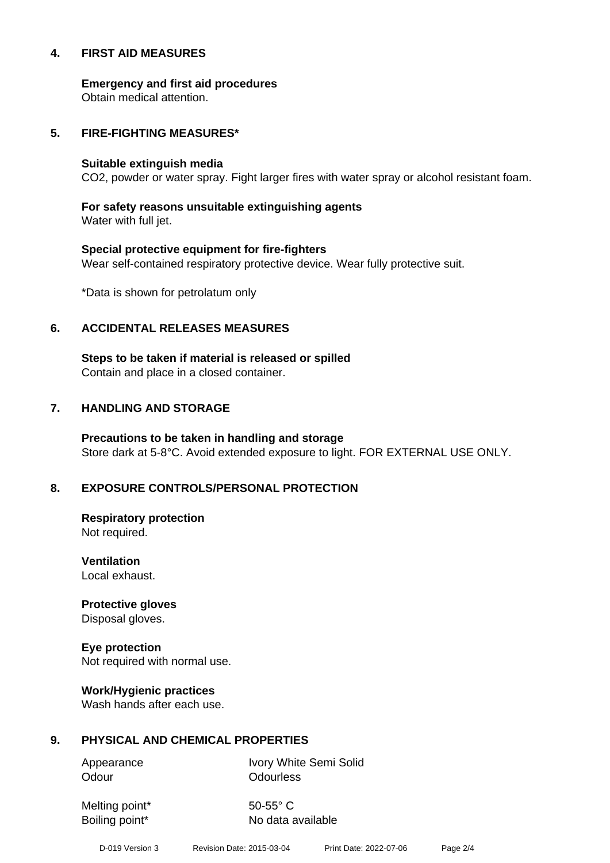#### **4. FIRST AID MEASURES**

**Emergency and first aid procedures**

Obtain medical attention.

#### **5. FIRE-FIGHTING MEASURES\***

#### **Suitable extinguish media**

CO2, powder or water spray. Fight larger fires with water spray or alcohol resistant foam.

# **For safety reasons unsuitable extinguishing agents**

Water with full jet.

# **Special protective equipment for fire-fighters** Wear self-contained respiratory protective device. Wear fully protective suit.

\*Data is shown for petrolatum only

### **6. ACCIDENTAL RELEASES MEASURES**

**Steps to be taken if material is released or spilled** Contain and place in a closed container.

# **7. HANDLING AND STORAGE**

**Precautions to be taken in handling and storage** Store dark at 5-8°C. Avoid extended exposure to light. FOR EXTERNAL USE ONLY.

# **8. EXPOSURE CONTROLS/PERSONAL PROTECTION**

**Respiratory protection** Not required.

**Ventilation** Local exhaust.

**Protective gloves** Disposal gloves.

# **Eye protection**

Not required with normal use.

#### **Work/Hygienic practices**

Wash hands after each use.

#### **9. PHYSICAL AND CHEMICAL PROPERTIES**

Odour **Odourless** 

Appearance Ivory White Semi Solid

Melting point\* 50-55° C

Boiling point\* No data available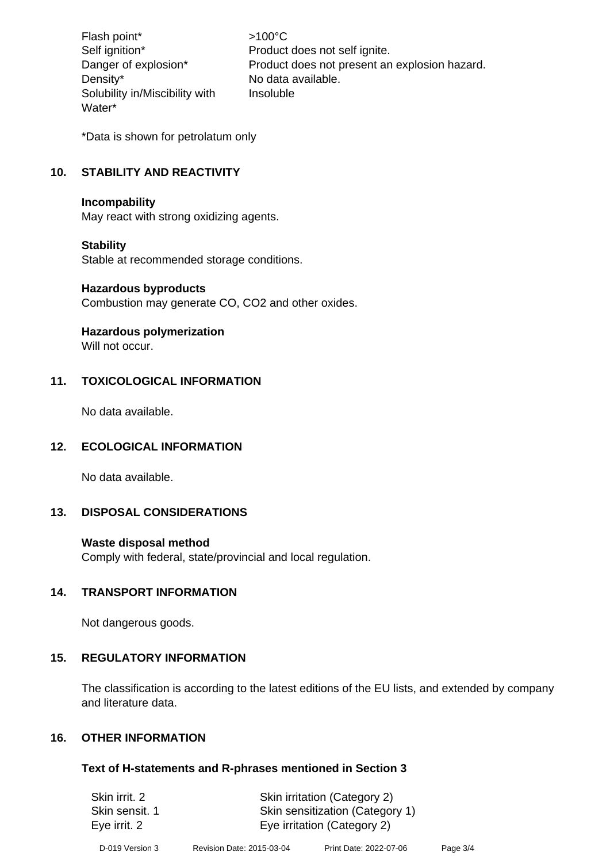Flash point\* >100°C Density\* No data available. Solubility in/Miscibility with Water\*

Self ignition\* Product does not self ignite. Danger of explosion\* Product does not present an explosion hazard. Insoluble

\*Data is shown for petrolatum only

# **10. STABILITY AND REACTIVITY**

#### **Incompability**

May react with strong oxidizing agents.

#### **Stability**

Stable at recommended storage conditions.

#### **Hazardous byproducts**

Combustion may generate CO, CO2 and other oxides.

#### **Hazardous polymerization**

Will not occur.

#### **11. TOXICOLOGICAL INFORMATION**

No data available.

#### **12. ECOLOGICAL INFORMATION**

No data available.

#### **13. DISPOSAL CONSIDERATIONS**

#### **Waste disposal method**

Comply with federal, state/provincial and local regulation.

#### **14. TRANSPORT INFORMATION**

Not dangerous goods.

#### **15. REGULATORY INFORMATION**

The classification is according to the latest editions of the EU lists, and extended by company and literature data.

#### **16. OTHER INFORMATION**

#### **Text of H-statements and R-phrases mentioned in Section 3**

| Skin irrit, 2  | Skin irritation (Category 2)    |
|----------------|---------------------------------|
| Skin sensit. 1 | Skin sensitization (Category 1) |
| Eye irrit. 2   | Eye irritation (Category 2)     |
|                |                                 |